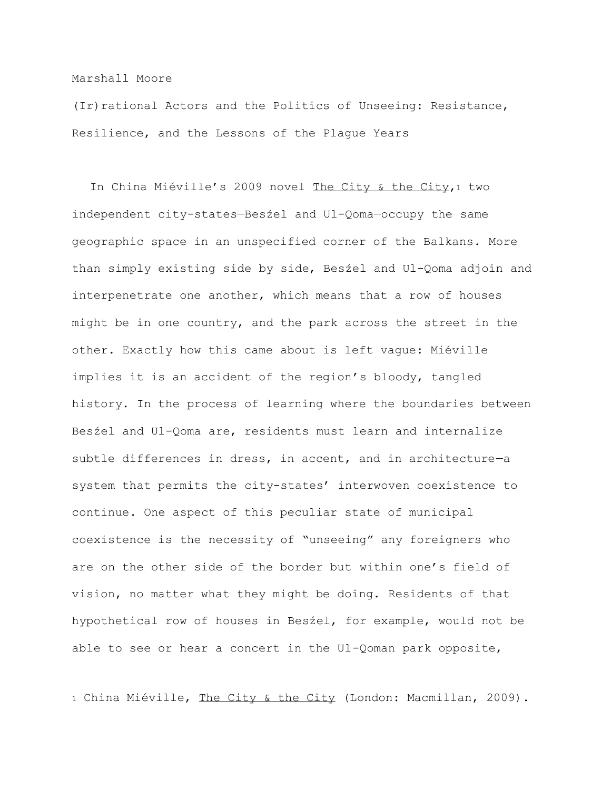## Marshall Moore

(Ir) rational Actors and the Politics of Unseeing: Resistance, Resilience, and the Lessons of the Plague Years

In China Miéville's 2009 novel The City & the City,<sup>1</sup> two independent city-states—Besźel and Ul-Qoma—occupy the same geographic space in an unspecified corner of the Balkans. More than simply existing side by side, Besźel and Ul-Qoma adjoin and interpenetrate one another, which means that a row of houses might be in one country, and the park across the street in the other. Exactly how this came about is left vague: Miéville implies it is an accident of the region's bloody, tangled history. In the process of learning where the boundaries between Besźel and Ul-Qoma are, residents must learn and internalize subtle differences in dress, in accent, and in architecture—a system that permits the city-states' interwoven coexistence to continue. One aspect of this peculiar state of municipal coexistence is the necessity of "unseeing" any foreigners who are on the other side of the border but within one's field of vision, no matter what they might be doing. Residents of that hypothetical row of houses in Besźel, for example, would not be able to see or hear a concert in the Ul-Qoman park opposite,

1 China Miéville, The City & the City (London: Macmillan, 2009).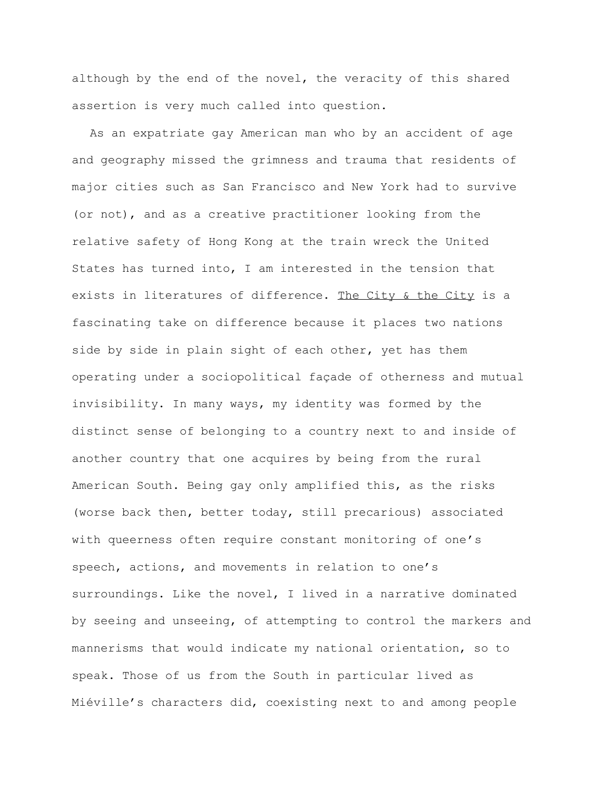although by the end of the novel, the veracity of this shared assertion is very much called into question.

As an expatriate gay American man who by an accident of age and geography missed the grimness and trauma that residents of major cities such as San Francisco and New York had to survive (or not), and as a creative practitioner looking from the relative safety of Hong Kong at the train wreck the United States has turned into, I am interested in the tension that exists in literatures of difference. The City & the City is a fascinating take on difference because it places two nations side by side in plain sight of each other, yet has them operating under a sociopolitical façade of otherness and mutual invisibility. In many ways, my identity was formed by the distinct sense of belonging to a country next to and inside of another country that one acquires by being from the rural American South. Being gay only amplified this, as the risks (worse back then, better today, still precarious) associated with queerness often require constant monitoring of one's speech, actions, and movements in relation to one's surroundings. Like the novel, I lived in a narrative dominated by seeing and unseeing, of attempting to control the markers and mannerisms that would indicate my national orientation, so to speak. Those of us from the South in particular lived as Miéville's characters did, coexisting next to and among people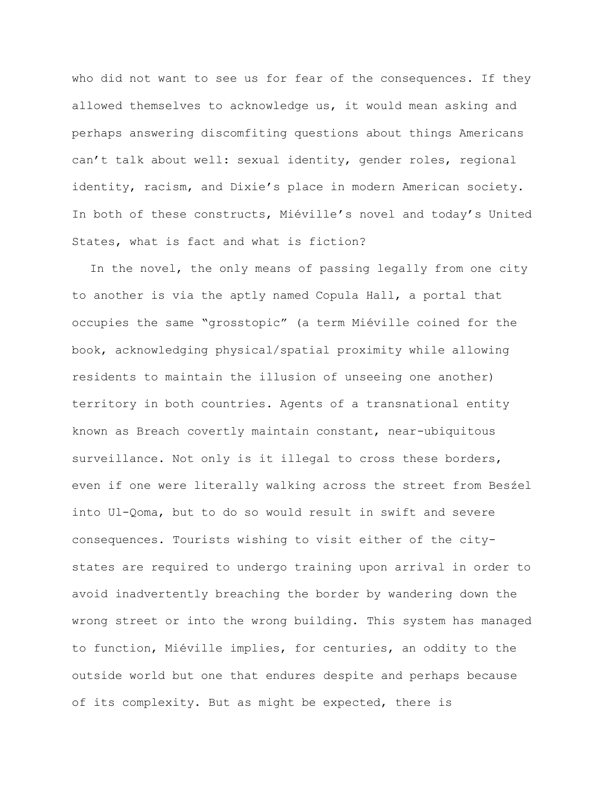who did not want to see us for fear of the consequences. If they allowed themselves to acknowledge us, it would mean asking and perhaps answering discomfiting questions about things Americans can't talk about well: sexual identity, gender roles, regional identity, racism, and Dixie's place in modern American society. In both of these constructs, Miéville's novel and today's United States, what is fact and what is fiction?

In the novel, the only means of passing legally from one city to another is via the aptly named Copula Hall, a portal that occupies the same "grosstopic" (a term Miéville coined for the book, acknowledging physical/spatial proximity while allowing residents to maintain the illusion of unseeing one another) territory in both countries. Agents of a transnational entity known as Breach covertly maintain constant, near-ubiquitous surveillance. Not only is it illegal to cross these borders, even if one were literally walking across the street from Besźel into Ul-Qoma, but to do so would result in swift and severe consequences. Tourists wishing to visit either of the citystates are required to undergo training upon arrival in order to avoid inadvertently breaching the border by wandering down the wrong street or into the wrong building. This system has managed to function, Miéville implies, for centuries, an oddity to the outside world but one that endures despite and perhaps because of its complexity. But as might be expected, there is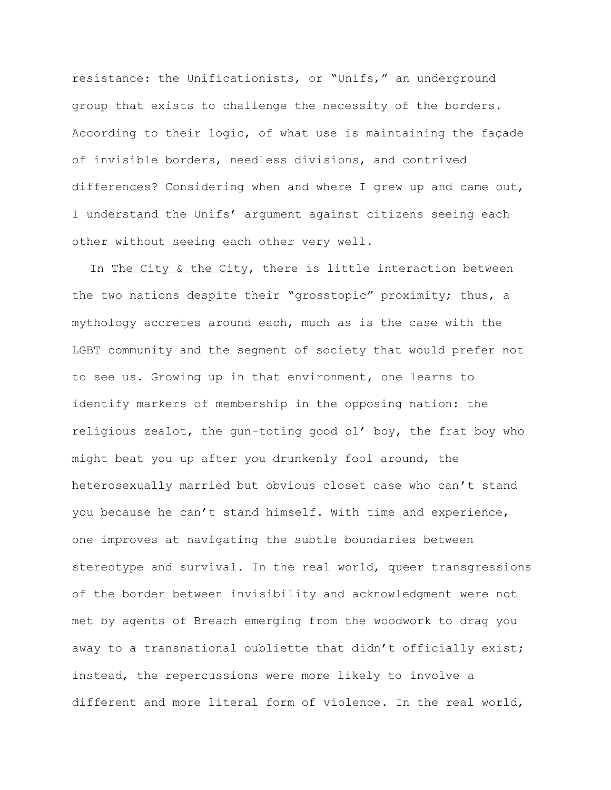resistance: the Unificationists, or "Unifs," an underground group that exists to challenge the necessity of the borders. According to their logic, of what use is maintaining the façade of invisible borders, needless divisions, and contrived differences? Considering when and where I grew up and came out, I understand the Unifs' argument against citizens seeing each other without seeing each other very well.

In The City & the City, there is little interaction between the two nations despite their "grosstopic" proximity; thus, a mythology accretes around each, much as is the case with the LGBT community and the segment of society that would prefer not to see us. Growing up in that environment, one learns to identify markers of membership in the opposing nation: the religious zealot, the gun-toting good ol' boy, the frat boy who might beat you up after you drunkenly fool around, the heterosexually married but obvious closet case who can't stand you because he can't stand himself. With time and experience, one improves at navigating the subtle boundaries between stereotype and survival. In the real world, queer transgressions of the border between invisibility and acknowledgment were not met by agents of Breach emerging from the woodwork to drag you away to a transnational oubliette that didn't officially exist; instead, the repercussions were more likely to involve a different and more literal form of violence. In the real world,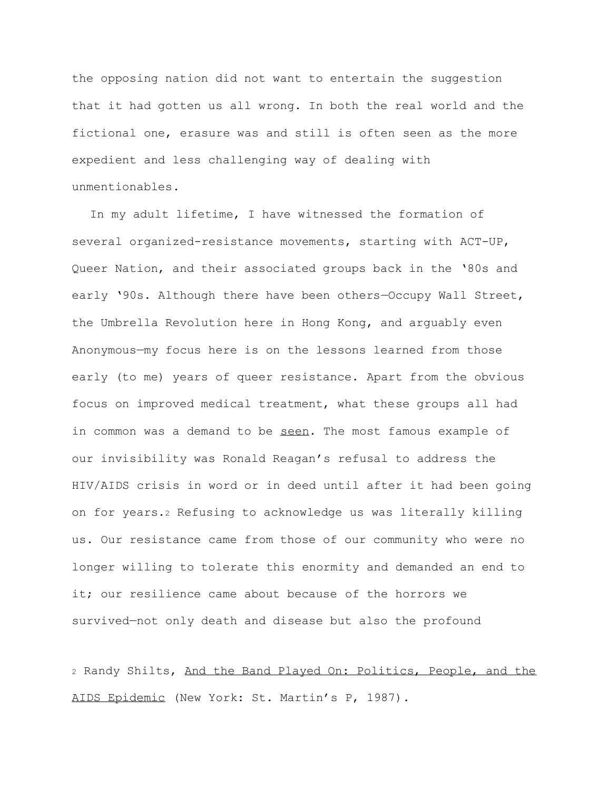the opposing nation did not want to entertain the suggestion that it had gotten us all wrong. In both the real world and the fictional one, erasure was and still is often seen as the more expedient and less challenging way of dealing with unmentionables.

In my adult lifetime, I have witnessed the formation of several organized-resistance movements, starting with ACT-UP, Queer Nation, and their associated groups back in the '80s and early '90s. Although there have been others—Occupy Wall Street, the Umbrella Revolution here in Hong Kong, and arguably even Anonymous—my focus here is on the lessons learned from those early (to me) years of queer resistance. Apart from the obvious focus on improved medical treatment, what these groups all had in common was a demand to be seen. The most famous example of our invisibility was Ronald Reagan's refusal to address the HIV/AIDS crisis in word or in deed until after it had been going on for years.<sup>2</sup> Refusing to acknowledge us was literally killing us. Our resistance came from those of our community who were no longer willing to tolerate this enormity and demanded an end to it; our resilience came about because of the horrors we survived—not only death and disease but also the profound

<sup>2</sup> Randy Shilts, And the Band Played On: Politics, People, and the AIDS Epidemic (New York: St. Martin's P, 1987).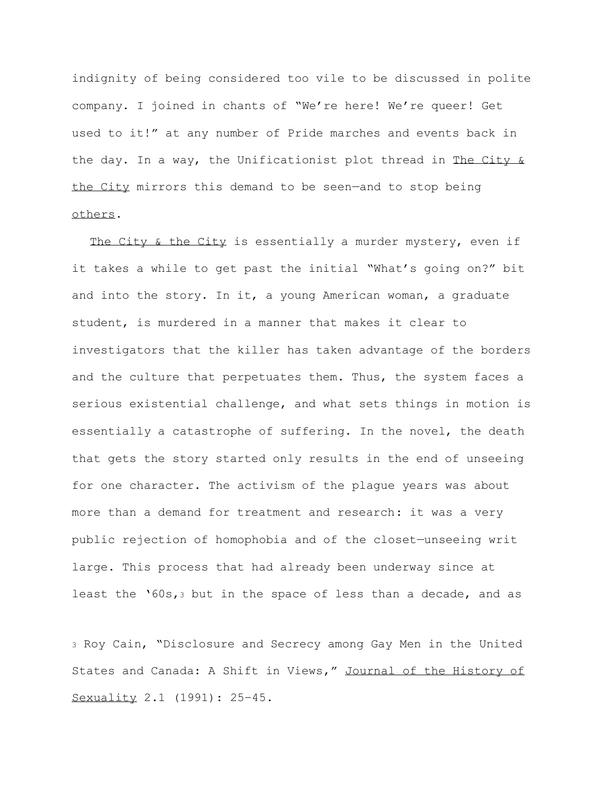indignity of being considered too vile to be discussed in polite company. I joined in chants of "We're here! We're queer! Get used to it!" at any number of Pride marches and events back in the day. In a way, the Unificationist plot thread in The City & the City mirrors this demand to be seen—and to stop being others.

The City & the City is essentially a murder mystery, even if it takes a while to get past the initial "What's going on?" bit and into the story. In it, a young American woman, a graduate student, is murdered in a manner that makes it clear to investigators that the killer has taken advantage of the borders and the culture that perpetuates them. Thus, the system faces a serious existential challenge, and what sets things in motion is essentially a catastrophe of suffering. In the novel, the death that gets the story started only results in the end of unseeing for one character. The activism of the plague years was about more than a demand for treatment and research: it was a very public rejection of homophobia and of the closet—unseeing writ large. This process that had already been underway since at least the '60s,<sup>3</sup> but in the space of less than a decade, and as

<sup>3</sup> Roy Cain, "Disclosure and Secrecy among Gay Men in the United States and Canada: A Shift in Views," Journal of the History of Sexuality 2.1 (1991): 25–45.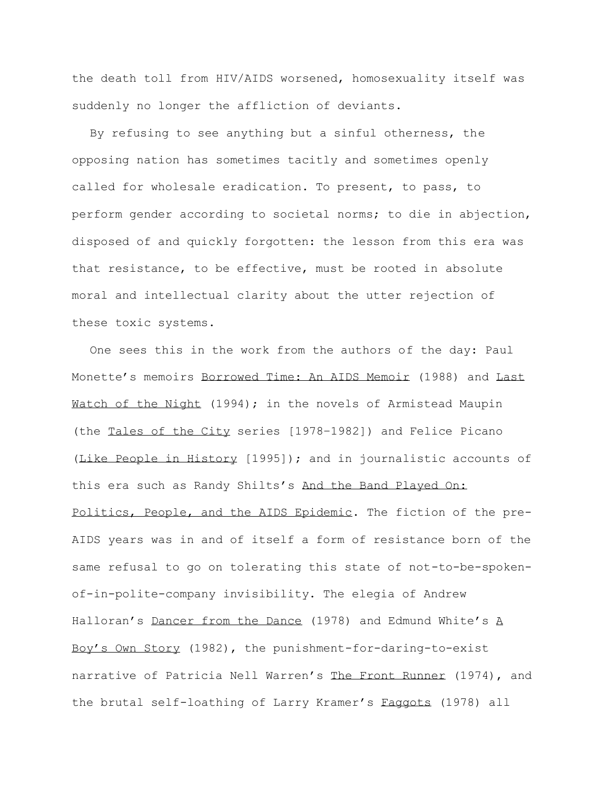the death toll from HIV/AIDS worsened, homosexuality itself was suddenly no longer the affliction of deviants.

By refusing to see anything but a sinful otherness, the opposing nation has sometimes tacitly and sometimes openly called for wholesale eradication. To present, to pass, to perform gender according to societal norms; to die in abjection, disposed of and quickly forgotten: the lesson from this era was that resistance, to be effective, must be rooted in absolute moral and intellectual clarity about the utter rejection of these toxic systems.

One sees this in the work from the authors of the day: Paul Monette's memoirs Borrowed Time: An AIDS Memoir (1988) and Last Watch of the Night (1994); in the novels of Armistead Maupin (the Tales of the City series [1978–1982]) and Felice Picano (Like People in History [1995]); and in journalistic accounts of this era such as Randy Shilts's And the Band Played On: Politics, People, and the AIDS Epidemic. The fiction of the pre-AIDS years was in and of itself a form of resistance born of the same refusal to go on tolerating this state of not-to-be-spokenof-in-polite-company invisibility. The elegia of Andrew Halloran's Dancer from the Dance (1978) and Edmund White's A Boy's Own Story (1982), the punishment-for-daring-to-exist narrative of Patricia Nell Warren's The Front Runner (1974), and the brutal self-loathing of Larry Kramer's Faggots (1978) all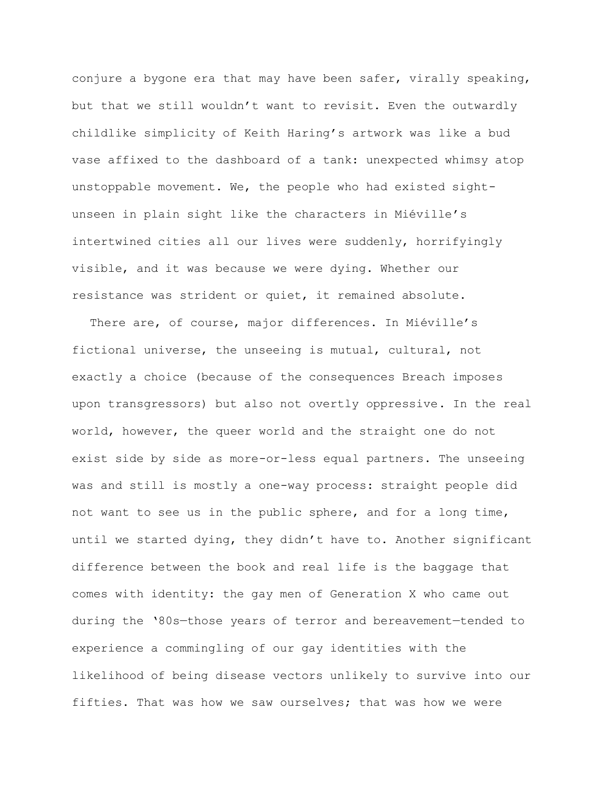conjure a bygone era that may have been safer, virally speaking, but that we still wouldn't want to revisit. Even the outwardly childlike simplicity of Keith Haring's artwork was like a bud vase affixed to the dashboard of a tank: unexpected whimsy atop unstoppable movement. We, the people who had existed sightunseen in plain sight like the characters in Miéville's intertwined cities all our lives were suddenly, horrifyingly visible, and it was because we were dying. Whether our resistance was strident or quiet, it remained absolute.

There are, of course, major differences. In Miéville's fictional universe, the unseeing is mutual, cultural, not exactly a choice (because of the consequences Breach imposes upon transgressors) but also not overtly oppressive. In the real world, however, the queer world and the straight one do not exist side by side as more-or-less equal partners. The unseeing was and still is mostly a one-way process: straight people did not want to see us in the public sphere, and for a long time, until we started dying, they didn't have to. Another significant difference between the book and real life is the baggage that comes with identity: the gay men of Generation X who came out during the '80s—those years of terror and bereavement—tended to experience a commingling of our gay identities with the likelihood of being disease vectors unlikely to survive into our fifties. That was how we saw ourselves; that was how we were